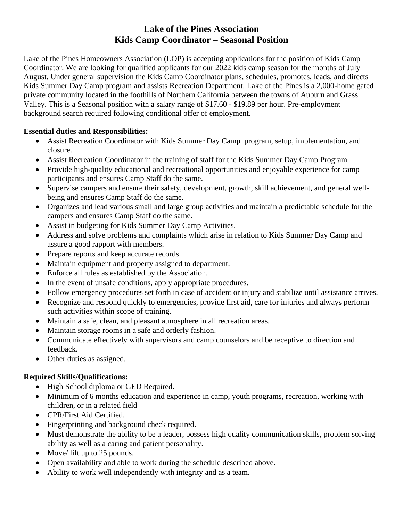## **Lake of the Pines Association Kids Camp Coordinator – Seasonal Position**

Lake of the Pines Homeowners Association (LOP) is accepting applications for the position of Kids Camp Coordinator. We are looking for qualified applicants for our 2022 kids camp season for the months of July – August. Under general supervision the Kids Camp Coordinator plans, schedules, promotes, leads, and directs Kids Summer Day Camp program and assists Recreation Department. Lake of the Pines is a 2,000-home gated private community located in the foothills of Northern California between the towns of Auburn and Grass Valley. This is a Seasonal position with a salary range of \$17.60 - \$19.89 per hour. Pre-employment background search required following conditional offer of employment.

## **Essential duties and Responsibilities:**

- Assist Recreation Coordinator with Kids Summer Day Camp program, setup, implementation, and closure.
- Assist Recreation Coordinator in the training of staff for the Kids Summer Day Camp Program.
- Provide high-quality educational and recreational opportunities and enjoyable experience for camp participants and ensures Camp Staff do the same.
- Supervise campers and ensure their safety, development, growth, skill achievement, and general wellbeing and ensures Camp Staff do the same.
- Organizes and lead various small and large group activities and maintain a predictable schedule for the campers and ensures Camp Staff do the same.
- Assist in budgeting for Kids Summer Day Camp Activities.
- Address and solve problems and complaints which arise in relation to Kids Summer Day Camp and assure a good rapport with members.
- Prepare reports and keep accurate records.
- Maintain equipment and property assigned to department.
- Enforce all rules as established by the Association.
- In the event of unsafe conditions, apply appropriate procedures.
- Follow emergency procedures set forth in case of accident or injury and stabilize until assistance arrives.
- Recognize and respond quickly to emergencies, provide first aid, care for injuries and always perform such activities within scope of training.
- Maintain a safe, clean, and pleasant atmosphere in all recreation areas.
- Maintain storage rooms in a safe and orderly fashion.
- Communicate effectively with supervisors and camp counselors and be receptive to direction and feedback.
- Other duties as assigned.

## **Required Skills/Qualifications:**

- High School diploma or GED Required.
- Minimum of 6 months education and experience in camp, youth programs, recreation, working with children, or in a related field
- CPR/First Aid Certified.
- Fingerprinting and background check required.
- Must demonstrate the ability to be a leader, possess high quality communication skills, problem solving ability as well as a caring and patient personality.
- Move/ lift up to 25 pounds.
- Open availability and able to work during the schedule described above.
- Ability to work well independently with integrity and as a team.